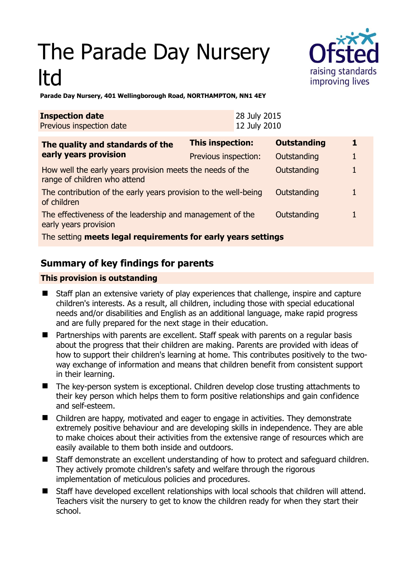# The Parade Day Nursery ltd



**Parade Day Nursery, 401 Wellingborough Road, NORTHAMPTON, NN1 4EY** 

| <b>Inspection date</b><br>Previous inspection date                                        |                      | 28 July 2015<br>12 July 2010 |                    |   |
|-------------------------------------------------------------------------------------------|----------------------|------------------------------|--------------------|---|
| The quality and standards of the<br>early years provision                                 | This inspection:     |                              | <b>Outstanding</b> | 1 |
|                                                                                           | Previous inspection: |                              | Outstanding        |   |
| How well the early years provision meets the needs of the<br>range of children who attend |                      |                              | Outstanding        |   |
| The contribution of the early years provision to the well-being<br>of children            |                      |                              | Outstanding        |   |
| The effectiveness of the leadership and management of the<br>early years provision        |                      |                              | Outstanding        |   |
| The setting meets legal requirements for early years settings                             |                      |                              |                    |   |

# **Summary of key findings for parents**

## **This provision is outstanding**

- Staff plan an extensive variety of play experiences that challenge, inspire and capture children's interests. As a result, all children, including those with special educational needs and/or disabilities and English as an additional language, make rapid progress and are fully prepared for the next stage in their education.
- Partnerships with parents are excellent. Staff speak with parents on a regular basis about the progress that their children are making. Parents are provided with ideas of how to support their children's learning at home. This contributes positively to the twoway exchange of information and means that children benefit from consistent support in their learning.
- The key-person system is exceptional. Children develop close trusting attachments to their key person which helps them to form positive relationships and gain confidence and self-esteem.
- Children are happy, motivated and eager to engage in activities. They demonstrate extremely positive behaviour and are developing skills in independence. They are able to make choices about their activities from the extensive range of resources which are easily available to them both inside and outdoors.
- Staff demonstrate an excellent understanding of how to protect and safeguard children. They actively promote children's safety and welfare through the rigorous implementation of meticulous policies and procedures.
- Staff have developed excellent relationships with local schools that children will attend. Teachers visit the nursery to get to know the children ready for when they start their school.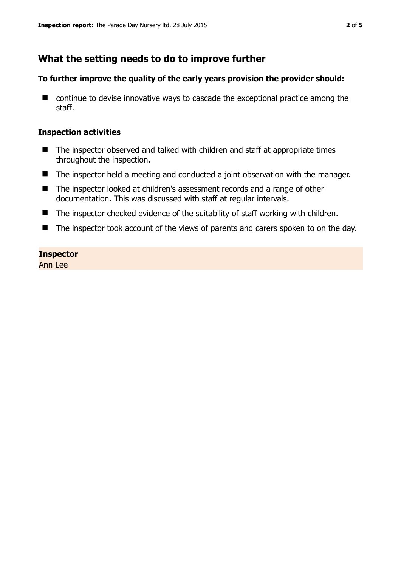# **What the setting needs to do to improve further**

#### **To further improve the quality of the early years provision the provider should:**

■ continue to devise innovative ways to cascade the exceptional practice among the staff.

## **Inspection activities**

- The inspector observed and talked with children and staff at appropriate times throughout the inspection.
- The inspector held a meeting and conducted a joint observation with the manager.
- The inspector looked at children's assessment records and a range of other documentation. This was discussed with staff at regular intervals.
- The inspector checked evidence of the suitability of staff working with children.
- The inspector took account of the views of parents and carers spoken to on the day.

## **Inspector**

Ann Lee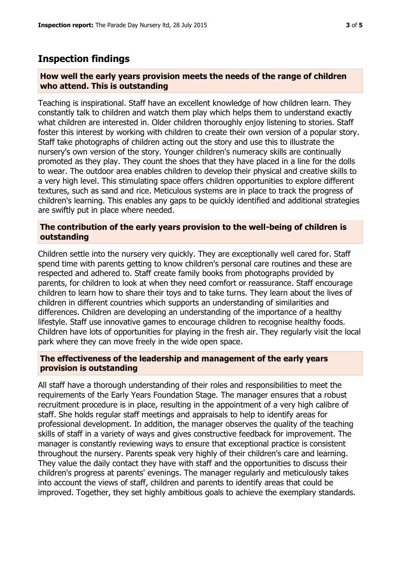# **Inspection findings**

#### **How well the early years provision meets the needs of the range of children who attend. This is outstanding**

Teaching is inspirational. Staff have an excellent knowledge of how children learn. They constantly talk to children and watch them play which helps them to understand exactly what children are interested in. Older children thoroughly enjoy listening to stories. Staff foster this interest by working with children to create their own version of a popular story. Staff take photographs of children acting out the story and use this to illustrate the nursery's own version of the story. Younger children's numeracy skills are continually promoted as they play. They count the shoes that they have placed in a line for the dolls to wear. The outdoor area enables children to develop their physical and creative skills to a very high level. This stimulating space offers children opportunities to explore different textures, such as sand and rice. Meticulous systems are in place to track the progress of children's learning. This enables any gaps to be quickly identified and additional strategies are swiftly put in place where needed.

## **The contribution of the early years provision to the well-being of children is outstanding**

Children settle into the nursery very quickly. They are exceptionally well cared for. Staff spend time with parents getting to know children's personal care routines and these are respected and adhered to. Staff create family books from photographs provided by parents, for children to look at when they need comfort or reassurance. Staff encourage children to learn how to share their toys and to take turns. They learn about the lives of children in different countries which supports an understanding of similarities and differences. Children are developing an understanding of the importance of a healthy lifestyle. Staff use innovative games to encourage children to recognise healthy foods. Children have lots of opportunities for playing in the fresh air. They regularly visit the local park where they can move freely in the wide open space.

## **The effectiveness of the leadership and management of the early years provision is outstanding**

All staff have a thorough understanding of their roles and responsibilities to meet the requirements of the Early Years Foundation Stage. The manager ensures that a robust recruitment procedure is in place, resulting in the appointment of a very high calibre of staff. She holds regular staff meetings and appraisals to help to identify areas for professional development. In addition, the manager observes the quality of the teaching skills of staff in a variety of ways and gives constructive feedback for improvement. The manager is constantly reviewing ways to ensure that exceptional practice is consistent throughout the nursery. Parents speak very highly of their children's care and learning. They value the daily contact they have with staff and the opportunities to discuss their children's progress at parents' evenings. The manager regularly and meticulously takes into account the views of staff, children and parents to identify areas that could be improved. Together, they set highly ambitious goals to achieve the exemplary standards.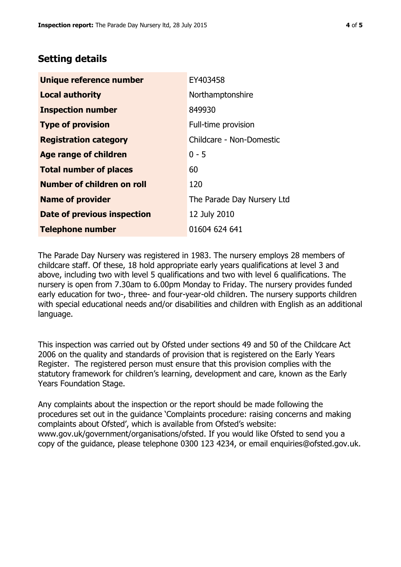# **Setting details**

| Unique reference number       | EY403458                   |  |  |
|-------------------------------|----------------------------|--|--|
| <b>Local authority</b>        | Northamptonshire           |  |  |
| <b>Inspection number</b>      | 849930                     |  |  |
| <b>Type of provision</b>      | Full-time provision        |  |  |
| <b>Registration category</b>  | Childcare - Non-Domestic   |  |  |
| Age range of children         | $0 - 5$                    |  |  |
| <b>Total number of places</b> | 60                         |  |  |
| Number of children on roll    | 120                        |  |  |
| <b>Name of provider</b>       | The Parade Day Nursery Ltd |  |  |
| Date of previous inspection   | 12 July 2010               |  |  |
| <b>Telephone number</b>       | 01604 624 641              |  |  |

The Parade Day Nursery was registered in 1983. The nursery employs 28 members of childcare staff. Of these, 18 hold appropriate early years qualifications at level 3 and above, including two with level 5 qualifications and two with level 6 qualifications. The nursery is open from 7.30am to 6.00pm Monday to Friday. The nursery provides funded early education for two-, three- and four-year-old children. The nursery supports children with special educational needs and/or disabilities and children with English as an additional language.

This inspection was carried out by Ofsted under sections 49 and 50 of the Childcare Act 2006 on the quality and standards of provision that is registered on the Early Years Register. The registered person must ensure that this provision complies with the statutory framework for children's learning, development and care, known as the Early Years Foundation Stage.

Any complaints about the inspection or the report should be made following the procedures set out in the guidance 'Complaints procedure: raising concerns and making complaints about Ofsted', which is available from Ofsted's website: www.gov.uk/government/organisations/ofsted. If you would like Ofsted to send you a copy of the guidance, please telephone 0300 123 4234, or email enquiries@ofsted.gov.uk.